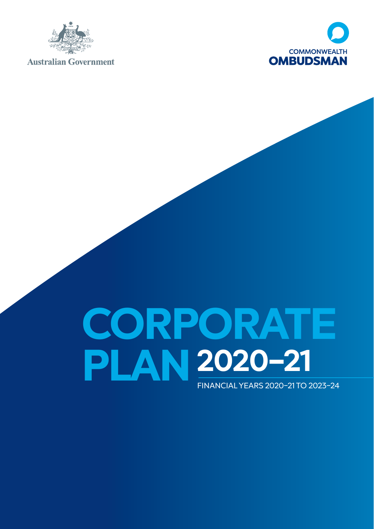

**Australian Government** 



# **CORPORATE PLAN 2020–21**FINANCIAL YEARS 2020–21 TO 2023–24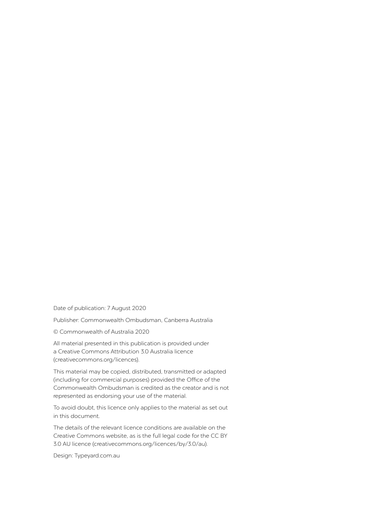Date of publication: 7 August 2020

Publisher: Commonwealth Ombudsman, Canberra Australia

© Commonwealth of Australia 2020

All material presented in this publication is provided under a Creative Commons Attribution 3.0 Australia licence [\(creativecommons.org/licences\)](http://creativecommons.org/licences).

This material may be copied, distributed, transmitted or adapted (including for commercial purposes) provided the Office of the Commonwealth Ombudsman is credited as the creator and is not represented as endorsing your use of the material.

To avoid doubt, this licence only applies to the material as set out in this document.

The details of the relevant licence conditions are available on the Creative Commons website, as is the full legal code for the CC BY 3.0 AU licence ([creativecommons.org/licences/by/3.0/au](http://creativecommons.org/licences/by/3.0/au)).

Design: [Typeyard.com.au](http://Typeyard.com.au)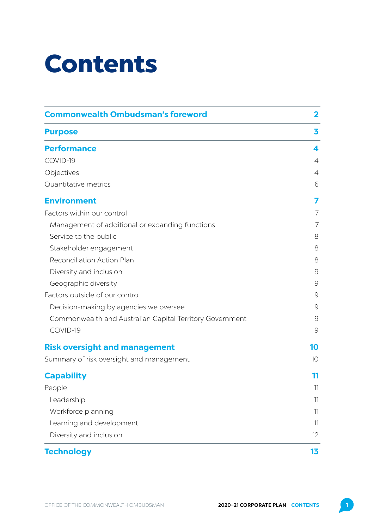# Contents

| <b>Commonwealth Ombudsman's foreword</b>                 | $\mathbf{2}$   |  |
|----------------------------------------------------------|----------------|--|
| <b>Purpose</b>                                           | 3              |  |
| <b>Performance</b>                                       | 4              |  |
| COVID-19                                                 | $\overline{4}$ |  |
| Objectives                                               | $\overline{4}$ |  |
| Quantitative metrics                                     | 6              |  |
| <b>Environment</b>                                       | 7              |  |
| Factors within our control                               | 7              |  |
| Management of additional or expanding functions          | 7              |  |
| Service to the public                                    | 8              |  |
| Stakeholder engagement                                   | 8              |  |
| Reconciliation Action Plan                               | 8              |  |
| Diversity and inclusion                                  | 9              |  |
| Geographic diversity                                     | 9              |  |
| Factors outside of our control                           | 9              |  |
| Decision-making by agencies we oversee                   | 9              |  |
| Commonwealth and Australian Capital Territory Government | 9              |  |
| COVID-19                                                 | 9              |  |
| <b>Risk oversight and management</b>                     | 10             |  |
| Summary of risk oversight and management                 | 10             |  |
| <b>Capability</b>                                        | 11             |  |
| People                                                   | 11             |  |
| Leadership                                               | 11             |  |
| Workforce planning                                       | 11             |  |
| Learning and development                                 | 11             |  |
| Diversity and inclusion                                  | 12             |  |
| <b>Technology</b>                                        | 13             |  |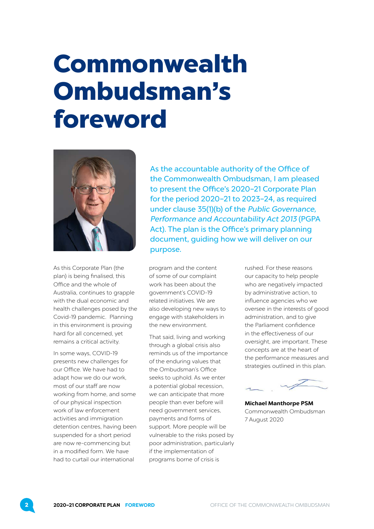# <span id="page-3-0"></span>Commonwealth Ombudsman's foreword



As this Corporate Plan (the plan) is being finalised, this Office and the whole of Australia, continues to grapple with the dual economic and health challenges posed by the Covid-19 pandemic. Planning in this environment is proving hard for all concerned, yet remains a critical activity.

In some ways, COVID-19 presents new challenges for our Office. We have had to adapt how we do our work most of our staff are now working from home, and some of our physical inspection work of law enforcement activities and immigration detention centres, having been suspended for a short period are now re-commencing but in a modified form. We have had to curtail our international

As the accountable authority of the Office of the Commonwealth Ombudsman, I am pleased to present the Office's 2020–21 Corporate Plan for the period 2020–21 to 2023–24, as required under clause 35(1)(b) of the Public Governance, Performance and Accountability Act 2013 (PGPA Act). The plan is the Office's primary planning document, guiding how we will deliver on our purpose.

program and the content of some of our complaint work has been about the government's COVID-19 related initiatives. We are also developing new ways to engage with stakeholders in the new environment.

That said, living and working through a global crisis also reminds us of the importance of the enduring values that the Ombudsman's Office seeks to uphold. As we enter a potential global recession, we can anticipate that more people than ever before will need government services, payments and forms of support. More people will be vulnerable to the risks posed by poor administration, particularly if the implementation of programs borne of crisis is

rushed. For these reasons our capacity to help people who are negatively impacted by administrative action, to influence agencies who we oversee in the interests of good administration, and to give the Parliament confidence in the effectiveness of our oversight, are important. These concepts are at the heart of the performance measures and strategies outlined in this plan.



**Michael Manthorpe PSM** Commonwealth Ombudsman 7 August 2020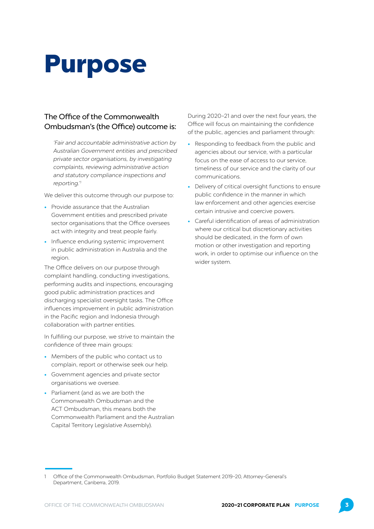# <span id="page-4-0"></span>Purpose

#### The Office of the Commonwealth Ombudsman's (the Office) outcome is:

'Fair and accountable administrative action by Australian Government entities and prescribed private sector organisations, by investigating complaints, reviewing administrative action and statutory compliance inspections and reporting.'<sup>1</sup>

We deliver this outcome through our purpose to:

- **•** Provide assurance that the Australian Government entities and prescribed private sector organisations that the Office oversees act with integrity and treat people fairly.
- **•** Influence enduring systemic improvement in public administration in Australia and the region.

The Office delivers on our purpose through complaint handling, conducting investigations, performing audits and inspections, encouraging good public administration practices and discharging specialist oversight tasks. The Office influences improvement in public administration in the Pacific region and Indonesia through collaboration with partner entities.

In fulfilling our purpose, we strive to maintain the confidence of three main groups:

- **•** Members of the public who contact us to complain, report or otherwise seek our help.
- **•** Government agencies and private sector organisations we oversee.
- **•** Parliament (and as we are both the Commonwealth Ombudsman and the ACT Ombudsman, this means both the Commonwealth Parliament and the Australian Capital Territory Legislative Assembly).

During 2020–21 and over the next four years, the Office will focus on maintaining the confidence of the public, agencies and parliament through:

- **•** Responding to feedback from the public and agencies about our service, with a particular focus on the ease of access to our service, timeliness of our service and the clarity of our communications.
- **•** Delivery of critical oversight functions to ensure public confidence in the manner in which law enforcement and other agencies exercise certain intrusive and coercive powers.
- **•** Careful identification of areas of administration where our critical but discretionary activities should be dedicated, in the form of own motion or other investigation and reporting work, in order to optimise our influence on the wider system.

<sup>1</sup> Office of the Commonwealth Ombudsman, Portfolio Budget Statement 2019–20, Attorney-General's Department, Canberra, 2019.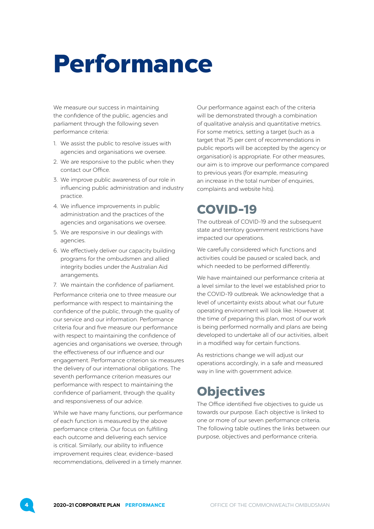# <span id="page-5-0"></span>Performance

We measure our success in maintaining the confidence of the public, agencies and parliament through the following seven performance criteria:

- 1. We assist the public to resolve issues with agencies and organisations we oversee.
- 2. We are responsive to the public when they contact our Office.
- 3. We improve public awareness of our role in influencing public administration and industry practice.
- 4. We influence improvements in public administration and the practices of the agencies and organisations we oversee.
- 5. We are responsive in our dealings with agencies.
- 6. We effectively deliver our capacity building programs for the ombudsmen and allied integrity bodies under the Australian Aid arrangements.
- 7. We maintain the confidence of parliament.

Performance criteria one to three measure our performance with respect to maintaining the confidence of the public, through the quality of our service and our information. Performance criteria four and five measure our performance with respect to maintaining the confidence of agencies and organisations we oversee, through the effectiveness of our influence and our engagement. Performance criterion six measures the delivery of our international obligations. The seventh performance criterion measures our performance with respect to maintaining the confidence of parliament, through the quality and responsiveness of our advice.

While we have many functions, our performance of each function is measured by the above performance criteria. Our focus on fulfilling each outcome and delivering each service is critical. Similarly, our ability to influence improvement requires clear, evidence–based recommendations, delivered in a timely manner.

Our performance against each of the criteria will be demonstrated through a combination of qualitative analysis and quantitative metrics. For some metrics, setting a target (such as a target that 75 per cent of recommendations in public reports will be accepted by the agency or organisation) is appropriate. For other measures, our aim is to improve our performance compared to previous years (for example, measuring an increase in the total number of enquiries, complaints and website hits).

## COVID-19

The outbreak of COVID-19 and the subsequent state and territory government restrictions have impacted our operations.

We carefully considered which functions and activities could be paused or scaled back, and which needed to be performed differently.

We have maintained our performance criteria at a level similar to the level we established prior to the COVID-19 outbreak. We acknowledge that a level of uncertainty exists about what our future operating environment will look like. However at the time of preparing this plan, most of our work is being performed normally and plans are being developed to undertake all of our activities, albeit in a modified way for certain functions.

As restrictions change we will adjust our operations accordingly, in a safe and measured way in line with government advice.

## **Objectives**

The Office identified five objectives to guide us towards our purpose. Each objective is linked to one or more of our seven performance criteria. The following table outlines the links between our purpose, objectives and performance criteria.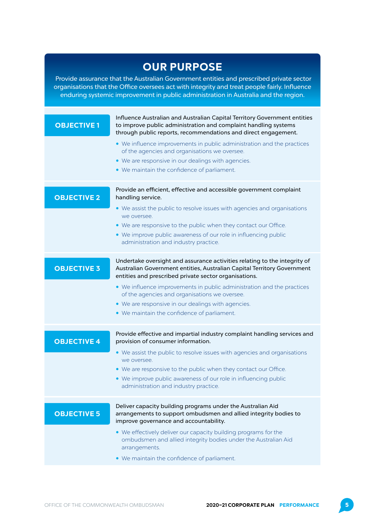### **OUR PURPOSE**

 Provide assurance that the Australian Government entities and prescribed private sector organisations that the Office oversees act with integrity and treat people fairly. Influence enduring systemic improvement in public administration in Australia and the region.

| <b>OBJECTIVE 1</b> | Influence Australian and Australian Capital Territory Government entities<br>to improve public administration and complaint handling systems<br>through public reports, recommendations and direct engagement. |
|--------------------|----------------------------------------------------------------------------------------------------------------------------------------------------------------------------------------------------------------|
|                    | • We influence improvements in public administration and the practices<br>of the agencies and organisations we oversee.                                                                                        |
|                    | • We are responsive in our dealings with agencies.                                                                                                                                                             |
|                    | • We maintain the confidence of parliament.                                                                                                                                                                    |
| <b>OBJECTIVE 2</b> | Provide an efficient, effective and accessible government complaint<br>handling service.                                                                                                                       |
|                    | • We assist the public to resolve issues with agencies and organisations<br>we oversee.                                                                                                                        |
|                    | • We are responsive to the public when they contact our Office.                                                                                                                                                |
|                    | • We improve public awareness of our role in influencing public<br>administration and industry practice.                                                                                                       |
| <b>OBJECTIVE 3</b> | Undertake oversight and assurance activities relating to the integrity of<br>Australian Government entities, Australian Capital Territory Government<br>entities and prescribed private sector organisations.  |
|                    | • We influence improvements in public administration and the practices<br>of the agencies and organisations we oversee.                                                                                        |
|                    | • We are responsive in our dealings with agencies.                                                                                                                                                             |
|                    | • We maintain the confidence of parliament.                                                                                                                                                                    |
| <b>OBJECTIVE 4</b> | Provide effective and impartial industry complaint handling services and<br>provision of consumer information.                                                                                                 |
|                    | • We assist the public to resolve issues with agencies and organisations<br>we oversee.                                                                                                                        |
|                    | • We are responsive to the public when they contact our Office.                                                                                                                                                |
|                    | • We improve public awareness of our role in influencing public<br>administration and industry practice.                                                                                                       |
|                    | Deliver capacity building programs under the Australian Aid                                                                                                                                                    |
| <b>OBJECTIVE 5</b> | arrangements to support ombudsmen and allied integrity bodies to<br>improve governance and accountability.                                                                                                     |
|                    | • We effectively deliver our capacity building programs for the<br>ombudsmen and allied integrity bodies under the Australian Aid<br>arrangements.                                                             |
|                    | • We maintain the confidence of parliament.                                                                                                                                                                    |
|                    |                                                                                                                                                                                                                |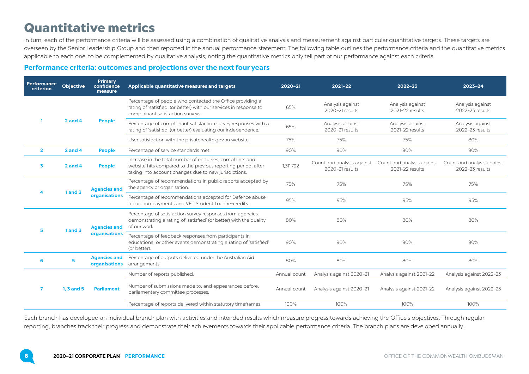## <span id="page-7-0"></span>Quantitative metrics

In turn, each of the performance criteria will be assessed using a combination of qualitative analysis and measurement against particular quantitative targets. These targets are overseen by the Senior Leadership Group and then reported in the annual performance statement. The following table outlines the performance criteria and the quantitative metrics applicable to each one, to be complemented by qualitative analysis, noting the quantitative metrics only tell part of our performance against each criteria.

#### **Performance criteria: outcomes and projections over the next four years**

| <b>Performance</b><br>criterion | <b>Objective</b> | Primary<br>confidence<br>measure     | Applicable quantitative measures and targets                                                                                                                                        | 2020-21      | $2021 - 22$                                   | $2022 - 23$                                   | $2023 - 24$                                   |
|---------------------------------|------------------|--------------------------------------|-------------------------------------------------------------------------------------------------------------------------------------------------------------------------------------|--------------|-----------------------------------------------|-----------------------------------------------|-----------------------------------------------|
|                                 | $2$ and 4        | <b>People</b>                        | Percentage of people who contacted the Office providing a<br>rating of 'satisfied' (or better) with our services in response to<br>complainant satisfaction surveys.                | 65%          | Analysis against<br>2020-21 results           | Analysis against<br>2021-22 results           | Analysis against<br>2022-23 results           |
|                                 |                  |                                      | Percentage of complainant satisfaction survey responses with a<br>rating of 'satisfied' (or better) evaluating our independence.                                                    | 65%          | Analysis against<br>2020-21 results           | Analysis against<br>2021-22 results           | Analysis against<br>2022-23 results           |
|                                 |                  |                                      | User satisfaction with the privatehealth.gov.au website.                                                                                                                            | 75%          | 75%                                           | 75%                                           | 80%                                           |
| $\overline{2}$                  | $2$ and 4        | <b>People</b>                        | Percentage of service standards met                                                                                                                                                 | 90%          | 90%                                           | 90%                                           | 90%                                           |
| 3                               | $2$ and $4$      | <b>People</b>                        | Increase in the total number of enquiries, complaints and<br>website hits compared to the previous reporting period, after<br>taking into account changes due to new jurisdictions. | 1,311,792    | Count and analysis against<br>2020-21 results | Count and analysis against<br>2021-22 results | Count and analysis against<br>2022-23 results |
|                                 | 1 and 3          | <b>Agencies and</b><br>organisations | Percentage of recommendations in public reports accepted by<br>the agency or organisation.                                                                                          | 75%          | 75%                                           | 75%                                           | 75%                                           |
|                                 |                  |                                      | Percentage of recommendations accepted for Defence abuse<br>reparation payments and VET Student Loan re-credits.                                                                    | 95%          | 95%                                           | 95%                                           | 95%                                           |
| 5.                              | $1$ and $3$      | <b>Agencies and</b>                  | Percentage of satisfaction survey responses from agencies<br>demonstrating a rating of 'satisfied' (or better) with the quality<br>of our work.                                     | 80%          | 80%                                           | 80%                                           | 80%                                           |
|                                 |                  | organisations                        | Percentage of feedback responses from participants in<br>educational or other events demonstrating a rating of 'satisfied'<br>(or better).                                          | 90%          | 90%                                           | 90%                                           | 90%                                           |
| 6                               | 5                | <b>Agencies and</b><br>organisations | Percentage of outputs delivered under the Australian Aid<br>arrangements.                                                                                                           | 80%          | 80%                                           | 80%                                           | 80%                                           |
|                                 | $1.3$ and $5$    | <b>Parliament</b>                    | Number of reports published.                                                                                                                                                        | Annual count | Analysis against 2020-21                      | Analysis against 2021-22                      | Analysis against 2022-23                      |
|                                 |                  |                                      | Number of submissions made to, and appearances before,<br>parliamentary committee processes.                                                                                        | Annual count | Analysis against 2020-21                      | Analysis against 2021-22                      | Analysis against 2022-23                      |
|                                 |                  |                                      | Percentage of reports delivered within statutory timeframes.                                                                                                                        | 100%         | 100%                                          | 100%                                          | 100%                                          |

Each branch has developed an individual branch plan with activities and intended results which measure progress towards achieving the Office's objectives. Through regular reporting, branches track their progress and demonstrate their achievements towards their applicable performance criteria. The branch plans are developed annually.

6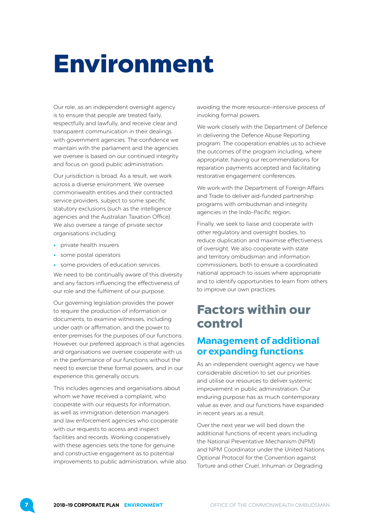# <span id="page-8-0"></span>Environment

Our role, as an independent oversight agency is to ensure that people are treated fairly, respectfully and lawfully, and receive clear and transparent communication in their dealings with government agencies. The confidence we maintain with the parliament and the agencies we oversee is based on our continued integrity and focus on good public administration.

Our jurisdiction is broad. As a result, we work across a diverse environment. We oversee commonwealth entities and their contracted service providers, subject to some specific statutory exclusions (such as the intelligence agencies and the Australian Taxation Office). We also oversee a range of private sector organisations including:

- **•** private health insurers
- **•** some postal operators
- **•** some providers of education services.

We need to be continually aware of this diversity and any factors influencing the effectiveness of our role and the fulfilment of our purpose.

Our governing legislation provides the power to require the production of information or documents, to examine witnesses, including under oath or affirmation, and the power to enter premises for the purposes of our functions. However, our preferred approach is that agencies and organisations we oversee cooperate with us in the performance of our functions without the need to exercise these formal powers, and in our experience this generally occurs.

This includes agencies and organisations about whom we have received a complaint, who cooperate with our requests for information, as well as immigration detention managers and law enforcement agencies who cooperate with our requests to access and inspect facilities and records. Working cooperatively with these agencies sets the tone for genuine and constructive engagement as to potential improvements to public administration, while also

avoiding the more resource-intensive process of invoking formal powers.

We work closely with the Department of Defence in delivering the Defence Abuse Reporting program. The cooperation enables us to achieve the outcomes of the program including, where appropriate, having our recommendations for reparation payments accepted and facilitating restorative engagement conferences.

We work with the Department of Foreign Affairs and Trade to deliver aid-funded partnership programs with ombudsman and integrity agencies in the Indo-Pacific region.

Finally, we seek to liaise and cooperate with other regulatory and oversight bodies, to reduce duplication and maximise effectiveness of oversight. We also cooperate with state and territory ombudsman and information commissioners, both to ensure a coordinated national approach to issues where appropriate and to identify opportunities to learn from others to improve our own practices.

## Factors within our control

#### **Management of additional or expanding functions**

As an independent oversight agency we have considerable discretion to set our priorities and utilise our resources to deliver systemic improvement in public administration. Our enduring purpose has as much contemporary value as ever, and our functions have expanded in recent years as a result.

Over the next year we will bed down the additional functions of recent years including the National Preventative Mechanism (NPM) and NPM Coordinator under the United Nations Optional Protocol for the Convention against Torture and other Cruel, Inhuman or Degrading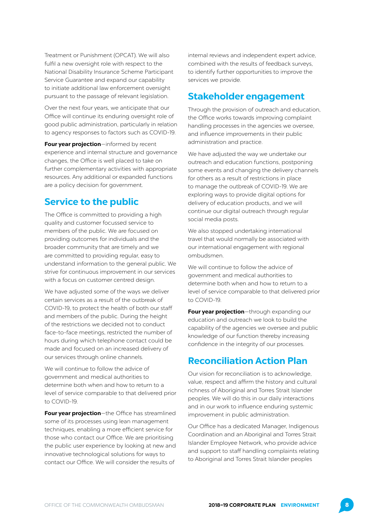<span id="page-9-0"></span>Treatment or Punishment (OPCAT). We will also fulfil a new oversight role with respect to the National Disability Insurance Scheme Participant Service Guarantee and expand our capability to initiate additional law enforcement oversight pursuant to the passage of relevant legislation.

Over the next four years, we anticipate that our Office will continue its enduring oversight role of good public administration, particularly in relation to agency responses to factors such as COVID-19.

**Four year projection**—informed by recent experience and internal structure and governance changes, the Office is well placed to take on further complementary activities with appropriate resources. Any additional or expanded functions are a policy decision for government.

#### **Service to the public**

The Office is committed to providing a high quality and customer focussed service to members of the public. We are focused on providing outcomes for individuals and the broader community that are timely and we are committed to providing regular, easy to understand information to the general public. We strive for continuous improvement in our services with a focus on customer centred design.

We have adjusted some of the ways we deliver certain services as a result of the outbreak of COVID-19, to protect the health of both our staff and members of the public. During the height of the restrictions we decided not to conduct face-to-face meetings, restricted the number of hours during which telephone contact could be made and focused on an increased delivery of our services through online channels.

We will continue to follow the advice of government and medical authorities to determine both when and how to return to a level of service comparable to that delivered prior to COVID-19.

**Four year projection**—the Office has streamlined some of its processes using lean management techniques, enabling a more efficient service for those who contact our Office. We are prioritising the public user experience by looking at new and innovative technological solutions for ways to contact our Office. We will consider the results of

internal reviews and independent expert advice, combined with the results of feedback surveys, to identify further opportunities to improve the services we provide.

#### **Stakeholder engagement**

Through the provision of outreach and education, the Office works towards improving complaint handling processes in the agencies we oversee, and influence improvements in their public administration and practice.

We have adjusted the way we undertake our outreach and education functions, postponing some events and changing the delivery channels for others as a result of restrictions in place to manage the outbreak of COVID-19. We are exploring ways to provide digital options for delivery of education products, and we will continue our digital outreach through regular social media posts.

We also stopped undertaking international travel that would normally be associated with our international engagement with regional ombudsmen.

We will continue to follow the advice of government and medical authorities to determine both when and how to return to a level of service comparable to that delivered prior to COVID-19.

**Four year projection**—through expanding our education and outreach we look to build the capability of the agencies we oversee and public knowledge of our function thereby increasing confidence in the integrity of our processes.

#### **Reconciliation Action Plan**

Our vision for reconciliation is to acknowledge, value, respect and affirm the history and cultural richness of Aboriginal and Torres Strait Islander peoples. We will do this in our daily interactions and in our work to influence enduring systemic improvement in public administration.

Our Office has a dedicated Manager, Indigenous Coordination and an Aboriginal and Torres Strait Islander Employee Network, who provide advice and support to staff handling complaints relating to Aboriginal and Torres Strait Islander peoples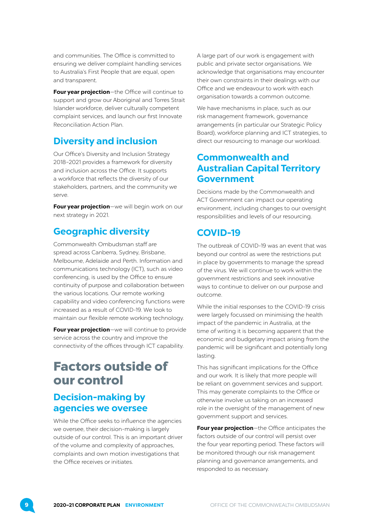<span id="page-10-0"></span>and communities. The Office is committed to ensuring we deliver complaint handling services to Australia's First People that are equal, open and transparent.

**Four year projection**—the Office will continue to support and grow our Aboriginal and Torres Strait Islander workforce, deliver culturally competent complaint services, and launch our first Innovate Reconciliation Action Plan.

#### **Diversity and inclusion**

Our Office's Diversity and Inclusion Strategy 2018–2021 provides a framework for diversity and inclusion across the Office. It supports a workforce that reflects the diversity of our stakeholders, partners, and the community we serve.

**Four year projection**—we will begin work on our next strategy in 2021.

### **Geographic diversity**

Commonwealth Ombudsman staff are spread across Canberra, Sydney, Brisbane, Melbourne, Adelaide and Perth. Information and communications technology (ICT), such as video conferencing, is used by the Office to ensure continuity of purpose and collaboration between the various locations. Our remote working capability and video conferencing functions were increased as a result of COVID-19. We look to maintain our flexible remote working technology.

**Four year projection**—we will continue to provide service across the country and improve the connectivity of the offices through ICT capability.

## Factors outside of our control

### **Decision-making by agencies we oversee**

While the Office seeks to influence the agencies we oversee, their decision-making is largely outside of our control. This is an important driver of the volume and complexity of approaches, complaints and own motion investigations that the Office receives or initiates.

A large part of our work is engagement with public and private sector organisations. We acknowledge that organisations may encounter their own constraints in their dealings with our Office and we endeavour to work with each organisation towards a common outcome.

We have mechanisms in place, such as our risk management framework, governance arrangements (in particular our Strategic Policy Board), workforce planning and ICT strategies, to direct our resourcing to manage our workload.

#### **Commonwealth and Australian Capital Territory Government**

Decisions made by the Commonwealth and ACT Government can impact our operating environment, including changes to our oversight responsibilities and levels of our resourcing.

### **COVID-19**

The outbreak of COVID-19 was an event that was beyond our control as were the restrictions put in place by governments to manage the spread of the virus. We will continue to work within the government restrictions and seek innovative ways to continue to deliver on our purpose and outcome.

While the initial responses to the COVID-19 crisis were largely focussed on minimising the health impact of the pandemic in Australia, at the time of writing it is becoming apparent that the economic and budgetary impact arising from the pandemic will be significant and potentially long lasting.

This has significant implications for the Office and our work. It is likely that more people will be reliant on government services and support. This may generate complaints to the Office or otherwise involve us taking on an increased role in the oversight of the management of new government support and services.

**Four year projection**—the Office anticipates the factors outside of our control will persist over the four year reporting period. These factors will be monitored through our risk management planning and governance arrangements, and responded to as necessary.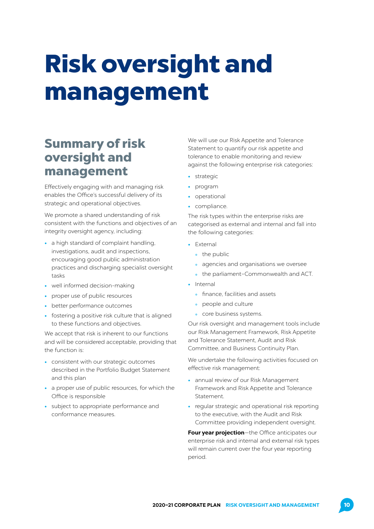# <span id="page-11-0"></span>Risk oversight and management

## Summary of risk oversight and management

Effectively engaging with and managing risk enables the Office's successful delivery of its strategic and operational objectives.

We promote a shared understanding of risk consistent with the functions and objectives of an integrity oversight agency, including:

- **•** a high standard of complaint handling, investigations, audit and inspections, encouraging good public administration practices and discharging specialist oversight tasks
- **•** well informed decision-making
- **•** proper use of public resources
- **•** better performance outcomes
- **•** fostering a positive risk culture that is aligned to these functions and objectives.

We accept that risk is inherent to our functions and will be considered acceptable, providing that the function is:

- **•** consistent with our strategic outcomes described in the Portfolio Budget Statement and this plan
- **•** a proper use of public resources, for which the Office is responsible
- **•** subject to appropriate performance and conformance measures.

We will use our Risk Appetite and Tolerance Statement to quantify our risk appetite and tolerance to enable monitoring and review against the following enterprise risk categories:

- **•** strategic
- **•** program
- **•** operational
- **•** compliance.

The risk types within the enterprise risks are categorised as external and internal and fall into the following categories:

- **•** External
	- the public
	- agencies and organisations we oversee
	- the parliament–Commonwealth and ACT.
- **•** Internal
	- finance, facilities and assets
	- people and culture
	- core business systems.

Our risk oversight and management tools include our Risk Management Framework, Risk Appetite and Tolerance Statement, Audit and Risk Committee, and Business Continuity Plan.

We undertake the following activities focused on effective risk management:

- **•** annual review of our Risk Management Framework and Risk Appetite and Tolerance Statement.
- **•** regular strategic and operational risk reporting to the executive, with the Audit and Risk Committee providing independent oversight.

**Four year projection**—the Office anticipates our enterprise risk and internal and external risk types will remain current over the four year reporting period.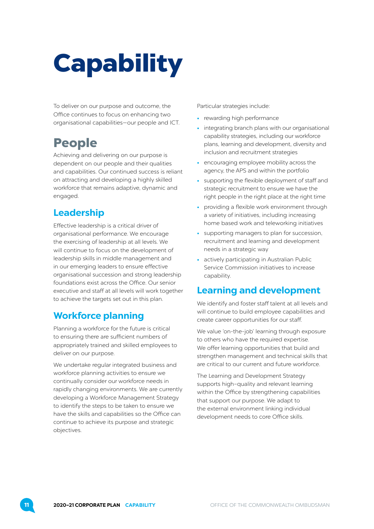# <span id="page-12-0"></span>**Capability**

To deliver on our purpose and outcome, the Office continues to focus on enhancing two organisational capabilities—our people and ICT.

## People

Achieving and delivering on our purpose is dependent on our people and their qualities and capabilities. Our continued success is reliant on attracting and developing a highly skilled workforce that remains adaptive, dynamic and engaged.

### **Leadership**

Effective leadership is a critical driver of organisational performance. We encourage the exercising of leadership at all levels. We will continue to focus on the development of leadership skills in middle management and in our emerging leaders to ensure effective organisational succession and strong leadership foundations exist across the Office. Our senior executive and staff at all levels will work together to achieve the targets set out in this plan.

### **Workforce planning**

Planning a workforce for the future is critical to ensuring there are sufficient numbers of appropriately trained and skilled employees to deliver on our purpose.

We undertake regular integrated business and workforce planning activities to ensure we continually consider our workforce needs in rapidly changing environments. We are currently developing a Workforce Management Strategy to identify the steps to be taken to ensure we have the skills and capabilities so the Office can continue to achieve its purpose and strategic objectives.

Particular strategies include:

- **•** rewarding high performance
- **•** integrating branch plans with our organisational capability strategies, including our workforce plans, learning and development, diversity and inclusion and recruitment strategies
- **•** encouraging employee mobility across the agency, the APS and within the portfolio
- **•** supporting the flexible deployment of staff and strategic recruitment to ensure we have the right people in the right place at the right time
- **•** providing a flexible work environment through a variety of initiatives, including increasing home based work and teleworking initiatives
- **•** supporting managers to plan for succession, recruitment and learning and development needs in a strategic way
- **•** actively participating in Australian Public Service Commission initiatives to increase capability.

### **Learning and development**

We identify and foster staff talent at all levels and will continue to build employee capabilities and create career opportunities for our staff.

We value 'on-the-job' learning through exposure to others who have the required expertise. We offer learning opportunities that build and strengthen management and technical skills that are critical to our current and future workforce.

The Learning and Development Strategy supports high–quality and relevant learning within the Office by strengthening capabilities that support our purpose. We adapt to the external environment linking individual development needs to core Office skills.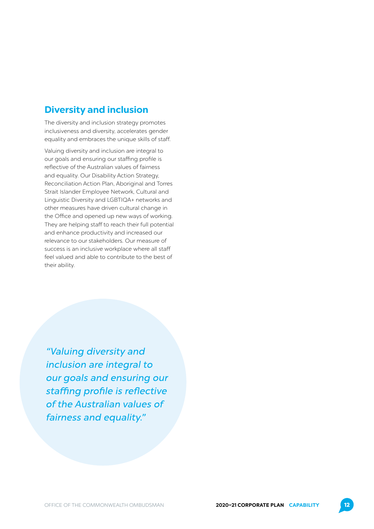### <span id="page-13-0"></span>**Diversity and inclusion**

The diversity and inclusion strategy promotes inclusiveness and diversity, accelerates gender equality and embraces the unique skills of staff.

Valuing diversity and inclusion are integral to our goals and ensuring our staffing profile is reflective of the Australian values of fairness and equality. Our Disability Action Strategy, Reconciliation Action Plan, Aboriginal and Torres Strait Islander Employee Network, Cultural and Linguistic Diversity and LGBTIQA+ networks and other measures have driven cultural change in the Office and opened up new ways of working. They are helping staff to reach their full potential and enhance productivity and increased our relevance to our stakeholders. Our measure of success is an inclusive workplace where all staff feel valued and able to contribute to the best of their ability.

"Valuing diversity and inclusion are integral to our goals and ensuring our staffing profile is reflective of the Australian values of fairness and equality."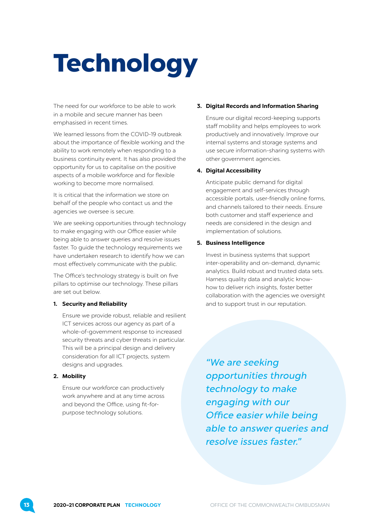# <span id="page-14-0"></span>**Technology**

The need for our workforce to be able to work in a mobile and secure manner has been emphasised in recent times.

We learned lessons from the COVID-19 outbreak about the importance of flexible working and the ability to work remotely when responding to a business continuity event. It has also provided the opportunity for us to capitalise on the positive aspects of a mobile workforce and for flexible working to become more normalised.

It is critical that the information we store on behalf of the people who contact us and the agencies we oversee is secure.

We are seeking opportunities through technology to make engaging with our Office easier while being able to answer queries and resolve issues faster. To guide the technology requirements we have undertaken research to identify how we can most effectively communicate with the public.

The Office's technology strategy is built on five pillars to optimise our technology. These pillars are set out below.

#### **1. Security and Reliability**

Ensure we provide robust, reliable and resilient ICT services across our agency as part of a whole-of-government response to increased security threats and cyber threats in particular. This will be a principal design and delivery consideration for all ICT projects, system designs and upgrades.

#### **2. Mobility**

Ensure our workforce can productively work anywhere and at any time across and beyond the Office, using fit-forpurpose technology solutions.

#### **3. Digital Records and Information Sharing**

Ensure our digital record-keeping supports staff mobility and helps employees to work productively and innovatively. Improve our internal systems and storage systems and use secure information-sharing systems with other government agencies.

#### **4. Digital Accessibility**

Anticipate public demand for digital engagement and self-services through accessible portals, user-friendly online forms, and channels tailored to their needs. Ensure both customer and staff experience and needs are considered in the design and implementation of solutions.

#### **5. Business Intelligence**

Invest in business systems that support inter-operability and on-demand, dynamic analytics. Build robust and trusted data sets. Harness quality data and analytic knowhow to deliver rich insights, foster better collaboration with the agencies we oversight and to support trust in our reputation.

"We are seeking opportunities through technology to make engaging with our Office easier while being able to answer queries and resolve issues faster."